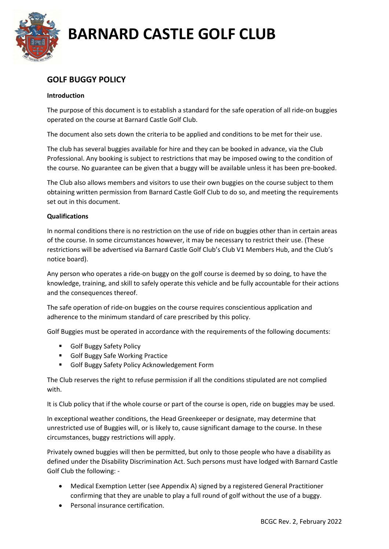

## GOLF BUGGY POLICY

### Introduction

The purpose of this document is to establish a standard for the safe operation of all ride-on buggies operated on the course at Barnard Castle Golf Club.

The document also sets down the criteria to be applied and conditions to be met for their use.

The club has several buggies available for hire and they can be booked in advance, via the Club Professional. Any booking is subject to restrictions that may be imposed owing to the condition of the course. No guarantee can be given that a buggy will be available unless it has been pre-booked.

The Club also allows members and visitors to use their own buggies on the course subject to them obtaining written permission from Barnard Castle Golf Club to do so, and meeting the requirements set out in this document.

### **Qualifications**

In normal conditions there is no restriction on the use of ride on buggies other than in certain areas of the course. In some circumstances however, it may be necessary to restrict their use. (These restrictions will be advertised via Barnard Castle Golf Club's Club V1 Members Hub, and the Club's notice board).

Any person who operates a ride-on buggy on the golf course is deemed by so doing, to have the knowledge, training, and skill to safely operate this vehicle and be fully accountable for their actions and the consequences thereof.

The safe operation of ride-on buggies on the course requires conscientious application and adherence to the minimum standard of care prescribed by this policy.

Golf Buggies must be operated in accordance with the requirements of the following documents:

- **Golf Buggy Safety Policy**
- **Golf Buggy Safe Working Practice**
- Golf Buggy Safety Policy Acknowledgement Form

The Club reserves the right to refuse permission if all the conditions stipulated are not complied with.

It is Club policy that if the whole course or part of the course is open, ride on buggies may be used.

In exceptional weather conditions, the Head Greenkeeper or designate, may determine that unrestricted use of Buggies will, or is likely to, cause significant damage to the course. In these circumstances, buggy restrictions will apply.

Privately owned buggies will then be permitted, but only to those people who have a disability as defined under the Disability Discrimination Act. Such persons must have lodged with Barnard Castle Golf Club the following: -

- Medical Exemption Letter (see Appendix A) signed by a registered General Practitioner confirming that they are unable to play a full round of golf without the use of a buggy.
- Personal insurance certification.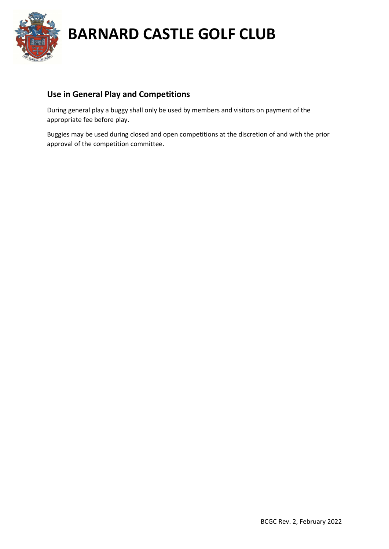

## Use in General Play and Competitions

During general play a buggy shall only be used by members and visitors on payment of the appropriate fee before play.

Buggies may be used during closed and open competitions at the discretion of and with the prior approval of the competition committee.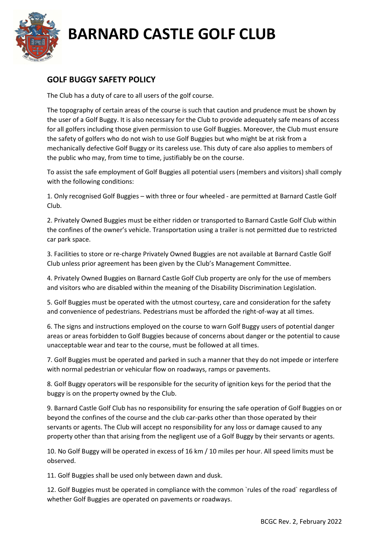

## GOLF BUGGY SAFETY POLICY

The Club has a duty of care to all users of the golf course.

The topography of certain areas of the course is such that caution and prudence must be shown by the user of a Golf Buggy. It is also necessary for the Club to provide adequately safe means of access for all golfers including those given permission to use Golf Buggies. Moreover, the Club must ensure the safety of golfers who do not wish to use Golf Buggies but who might be at risk from a mechanically defective Golf Buggy or its careless use. This duty of care also applies to members of the public who may, from time to time, justifiably be on the course.

To assist the safe employment of Golf Buggies all potential users (members and visitors) shall comply with the following conditions:

1. Only recognised Golf Buggies – with three or four wheeled - are permitted at Barnard Castle Golf Club.

2. Privately Owned Buggies must be either ridden or transported to Barnard Castle Golf Club within the confines of the owner's vehicle. Transportation using a trailer is not permitted due to restricted car park space.

3. Facilities to store or re-charge Privately Owned Buggies are not available at Barnard Castle Golf Club unless prior agreement has been given by the Club's Management Committee.

4. Privately Owned Buggies on Barnard Castle Golf Club property are only for the use of members and visitors who are disabled within the meaning of the Disability Discrimination Legislation.

5. Golf Buggies must be operated with the utmost courtesy, care and consideration for the safety and convenience of pedestrians. Pedestrians must be afforded the right-of-way at all times.

6. The signs and instructions employed on the course to warn Golf Buggy users of potential danger areas or areas forbidden to Golf Buggies because of concerns about danger or the potential to cause unacceptable wear and tear to the course, must be followed at all times.

7. Golf Buggies must be operated and parked in such a manner that they do not impede or interfere with normal pedestrian or vehicular flow on roadways, ramps or pavements.

8. Golf Buggy operators will be responsible for the security of ignition keys for the period that the buggy is on the property owned by the Club.

9. Barnard Castle Golf Club has no responsibility for ensuring the safe operation of Golf Buggies on or beyond the confines of the course and the club car-parks other than those operated by their servants or agents. The Club will accept no responsibility for any loss or damage caused to any property other than that arising from the negligent use of a Golf Buggy by their servants or agents.

10. No Golf Buggy will be operated in excess of 16 km / 10 miles per hour. All speed limits must be observed.

11. Golf Buggies shall be used only between dawn and dusk.

12. Golf Buggies must be operated in compliance with the common `rules of the road` regardless of whether Golf Buggies are operated on pavements or roadways.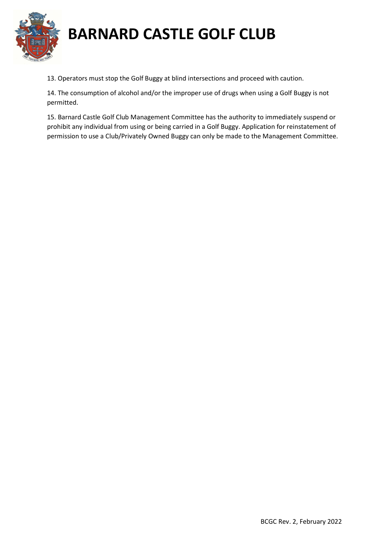

13. Operators must stop the Golf Buggy at blind intersections and proceed with caution.

14. The consumption of alcohol and/or the improper use of drugs when using a Golf Buggy is not permitted.

15. Barnard Castle Golf Club Management Committee has the authority to immediately suspend or prohibit any individual from using or being carried in a Golf Buggy. Application for reinstatement of permission to use a Club/Privately Owned Buggy can only be made to the Management Committee.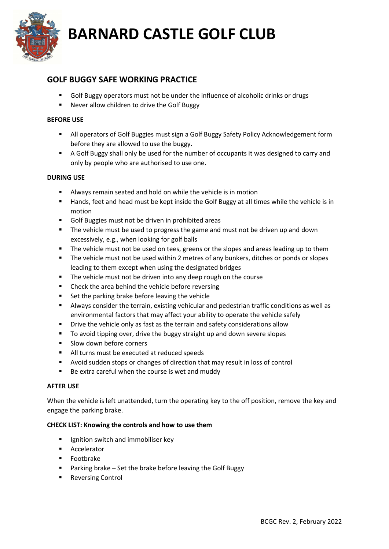

### GOLF BUGGY SAFE WORKING PRACTICE

- Golf Buggy operators must not be under the influence of alcoholic drinks or drugs
- Never allow children to drive the Golf Buggy

#### BEFORE USE

- All operators of Golf Buggies must sign a Golf Buggy Safety Policy Acknowledgement form before they are allowed to use the buggy.
- A Golf Buggy shall only be used for the number of occupants it was designed to carry and only by people who are authorised to use one.

### DURING USE

- Always remain seated and hold on while the vehicle is in motion
- **Hands, feet and head must be kept inside the Golf Buggy at all times while the vehicle is in** motion
- Golf Buggies must not be driven in prohibited areas
- **The vehicle must be used to progress the game and must not be driven up and down** excessively, e.g., when looking for golf balls
- The vehicle must not be used on tees, greens or the slopes and areas leading up to them
- The vehicle must not be used within 2 metres of any bunkers, ditches or ponds or slopes leading to them except when using the designated bridges
- The vehicle must not be driven into any deep rough on the course
- **EXECUTE:** Check the area behind the vehicle before reversing
- Set the parking brake before leaving the vehicle
- Always consider the terrain, existing vehicular and pedestrian traffic conditions as well as environmental factors that may affect your ability to operate the vehicle safely
- **P** Drive the vehicle only as fast as the terrain and safety considerations allow
- To avoid tipping over, drive the buggy straight up and down severe slopes
- **Slow down before corners**
- All turns must be executed at reduced speeds
- Avoid sudden stops or changes of direction that may result in loss of control
- Be extra careful when the course is wet and muddy

#### AFTER USE

When the vehicle is left unattended, turn the operating key to the off position, remove the key and engage the parking brake.

#### CHECK LIST: Knowing the controls and how to use them

- Ignition switch and immobiliser key
- **Accelerator**
- **Footbrake**
- Parking brake Set the brake before leaving the Golf Buggy
- **Reversing Control**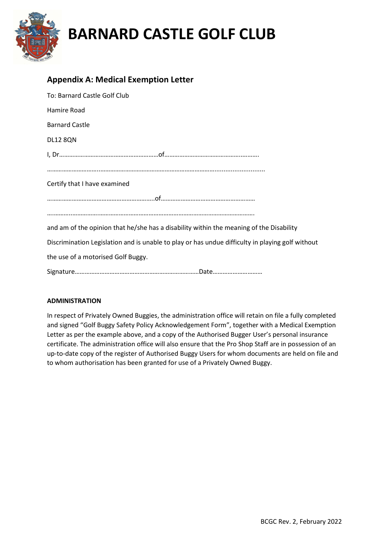

### Appendix A: Medical Exemption Letter

| To: Barnard Castle Golf Club                                                                     |
|--------------------------------------------------------------------------------------------------|
| Hamire Road                                                                                      |
| <b>Barnard Castle</b>                                                                            |
| <b>DL12 8QN</b>                                                                                  |
|                                                                                                  |
|                                                                                                  |
| Certify that I have examined                                                                     |
|                                                                                                  |
|                                                                                                  |
| and am of the opinion that he/she has a disability within the meaning of the Disability          |
| Discrimination Legislation and is unable to play or has undue difficulty in playing golf without |
| the use of a motorised Golf Buggy.                                                               |
|                                                                                                  |

### ADMINISTRATION

In respect of Privately Owned Buggies, the administration office will retain on file a fully completed and signed "Golf Buggy Safety Policy Acknowledgement Form", together with a Medical Exemption Letter as per the example above, and a copy of the Authorised Bugger User's personal insurance certificate. The administration office will also ensure that the Pro Shop Staff are in possession of an up-to-date copy of the register of Authorised Buggy Users for whom documents are held on file and to whom authorisation has been granted for use of a Privately Owned Buggy.